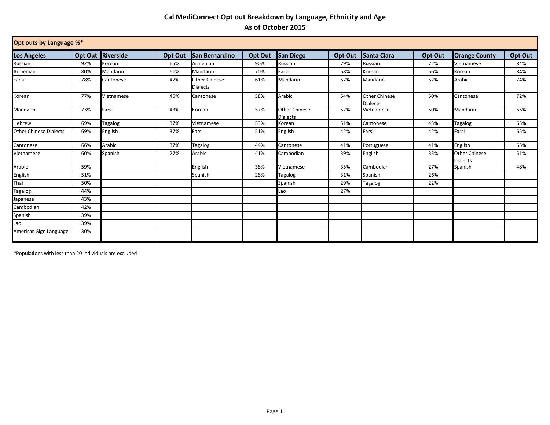## **Cal MediConnect Opt out Breakdown by Language, Ethnicity and Age As of October 2015**

| Opt outs by Language %*       |                |                  |         |                                         |         |                                         |         |                                         |         |                                         |         |
|-------------------------------|----------------|------------------|---------|-----------------------------------------|---------|-----------------------------------------|---------|-----------------------------------------|---------|-----------------------------------------|---------|
| <b>Los Angeles</b>            | <b>Opt Out</b> | <b>Riverside</b> | Opt Out | <b>San Bernardino</b>                   | Opt Out | <b>San Diego</b>                        | Opt Out | <b>Santa Clara</b>                      | Opt Out | <b>Orange County</b>                    | Opt Out |
| Russian                       | 92%            | Korean           | 65%     | Armenian                                | 90%     | Russian                                 | 79%     | Russian                                 | 72%     | Vietnamese                              | 84%     |
| Armenian                      | 80%            | Mandarin         | 61%     | Mandarin                                | 70%     | Farsi                                   | 58%     | Korean                                  | 56%     | Korean                                  | 84%     |
| Farsi                         | 78%            | Cantonese        | 47%     | <b>Other Chinese</b><br><b>Dialects</b> | 61%     | Mandarin                                | 57%     | Mandarin                                | 52%     | Arabic                                  | 74%     |
| Korean                        | 77%            | Vietnamese       | 45%     | Cantonese                               | 58%     | Arabic                                  | 54%     | <b>Other Chinese</b><br><b>Dialects</b> | 50%     | Cantonese                               | 72%     |
| Mandarin                      | 73%            | Farsi            | 43%     | Korean                                  | 57%     | <b>Other Chinese</b><br><b>Dialects</b> | 52%     | Vietnamese                              | 50%     | Mandarin                                | 65%     |
| Hebrew                        | 69%            | Tagalog          | 37%     | Vietnamese                              | 53%     | Korean                                  | 51%     | Cantonese                               | 43%     | Tagalog                                 | 65%     |
| <b>Other Chinese Dialects</b> | 69%            | English          | 37%     | Farsi                                   | 51%     | English                                 | 42%     | Farsi                                   | 42%     | Farsi                                   | 65%     |
| Cantonese                     | 66%            | Arabic           | 37%     | Tagalog                                 | 44%     | Cantonese                               | 41%     | Portuguese                              | 41%     | English                                 | 65%     |
| Vietnamese                    | 60%            | Spanish          | 27%     | Arabic                                  | 41%     | Cambodian                               | 39%     | English                                 | 33%     | <b>Other Chinese</b><br><b>Dialects</b> | 51%     |
| Arabic                        | 59%            |                  |         | English                                 | 38%     | Vietnamese                              | 35%     | Cambodian                               | 27%     | Spanish                                 | 48%     |
| English                       | 51%            |                  |         | Spanish                                 | 28%     | Tagalog                                 | 31%     | Spanish                                 | 26%     |                                         |         |
| Thai                          | 50%            |                  |         |                                         |         | Spanish                                 | 29%     | Tagalog                                 | 22%     |                                         |         |
| Tagalog                       | 44%            |                  |         |                                         |         | Lao                                     | 27%     |                                         |         |                                         |         |
| lapanese                      | 43%            |                  |         |                                         |         |                                         |         |                                         |         |                                         |         |
| Cambodian                     | 42%            |                  |         |                                         |         |                                         |         |                                         |         |                                         |         |
| Spanish                       | 39%            |                  |         |                                         |         |                                         |         |                                         |         |                                         |         |
| Lao                           | 39%            |                  |         |                                         |         |                                         |         |                                         |         |                                         |         |
| American Sign Language        | 30%            |                  |         |                                         |         |                                         |         |                                         |         |                                         |         |

\*Populations with less than 20 individuals are excluded